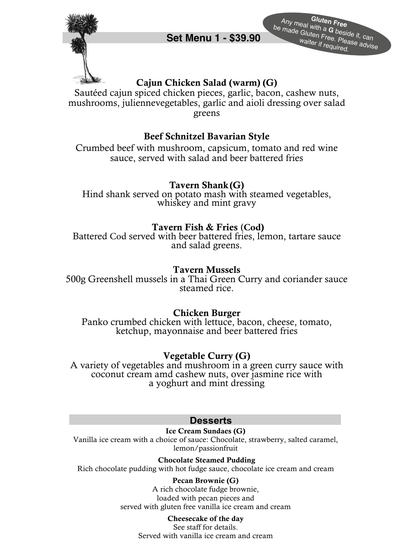

**Gluten Free** Any meal with a**<sup>G</sup>**beside it, can Set Menu 1 - \$39.90<br>
Set Menu 1 - \$39.90<br>
Waiter if required.

# Cajun Chicken Salad (warm) **(G)**

Sautéed cajun spiced chicken pieces, garlic, bacon, cashew nuts, mushrooms, juliennevegetables, garlic and aioli dressing over salad greens

## Beef Schnitzel Bavarian Style

Crumbed beef with mushroom, capsicum, tomato and red wine sauce, served with salad and beer battered fries

## Tavern Shank **(G)**

Hind shank served on potato mash with steamed vegetables, whiskey and mint gravy

## Tavern Fish & Fries **(Cod**)

Battered Cod served with beer battered fries, lemon, tartare sauce and salad greens.

#### Tavern Mussels

500g Greenshell mussels in a Thai Green Curry and coriander sauce steamed rice.

## Chicken Burger

Panko crumbed chicken with lettuce, bacon, cheese, tomato, ketchup, mayonnaise and beer battered fries

## Vegetable Curry (G)

A variety of vegetables and mushroom in a green curry sauce with coconut cream amd cashew nuts, over jasmine rice with a yoghurt and mint dressing

#### **Desserts**

**Ice Cream Sundaes (G)** 

Vanilla ice cream with a choice of sauce: Chocolate, strawberry, salted caramel, lemon/passionfruit

**Chocolate Steamed Pudding** Rich chocolate pudding with hot fudge sauce, chocolate ice cream and cream

#### **Pecan Brownie (G)**

A rich chocolate fudge brownie, loaded with pecan pieces and served with gluten free vanilla ice cream and cream

#### **Cheesecake of the day**

See staff for details. Served with vanilla ice cream and cream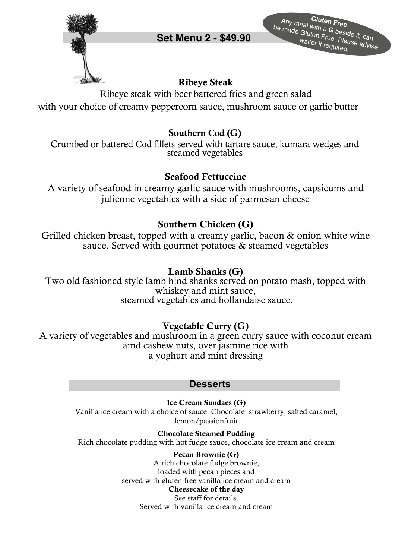

**Gluten Free** Any meal with a**<sup>G</sup>**beside it, can be made Gluten Free. Please advise **Set Menu 2 - \$49.<sup>90</sup>** waiter if required.

# Ribeye Steak

Ribeye steak with beer battered fries and green salad with your choice of creamy peppercorn sauce, mushroom sauce or garlic butter

## Southern **Cod** (G)

Crumbed or battered Cod fillets served with tartare sauce, kumara wedges and steamed vegetables

## Seafood Fettuccine

A variety of seafood in creamy garlic sauce with mushrooms, capsicums and julienne vegetables with a side of parmesan cheese

# Southern Chicken (G)

Grilled chicken breast, topped with a creamy garlic, bacon & onion white wine sauce. Served with gourmet potatoes & steamed vegetables

## Lamb Shanks (G)

Two old fashioned style lamb hind shanks served on potato mash, topped with whiskey and mint sauce, steamed vegetables and hollandaise sauce.

# Vegetable Curry (G)

A variety of vegetables and mushroom in a green curry sauce with coconut cream amd cashew nuts, over jasmine rice with a yoghurt and mint dressing

## **Desserts**

**Ice Cream Sundaes (G)**  Vanilla ice cream with a choice of sauce: Chocolate, strawberry, salted caramel, lemon/passionfruit

**Chocolate Steamed Pudding** Rich chocolate pudding with hot fudge sauce, chocolate ice cream and cream

> **Pecan Brownie (G)** A rich chocolate fudge brownie, loaded with pecan pieces and served with gluten free vanilla ice cream and cream **Cheesecake of the day** See staff for details. Served with vanilla ice cream and cream